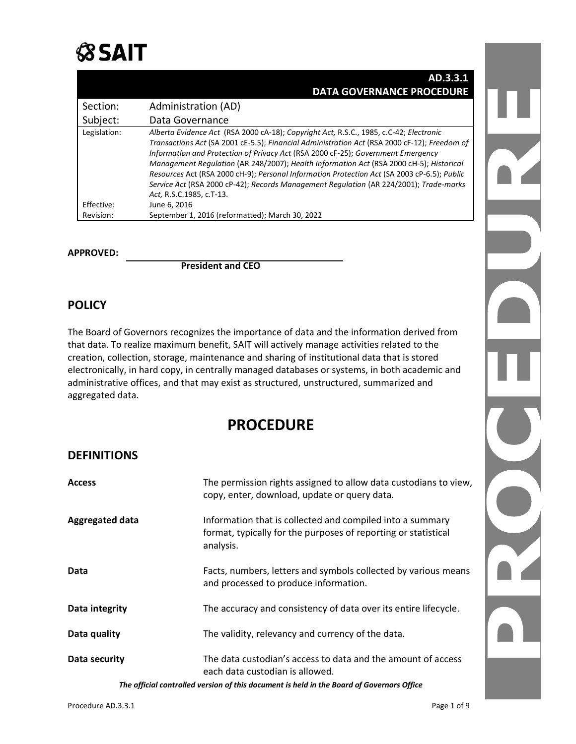

|              | AD.3.3.1                                                                                                                                                                                                                                                                                                                                                                                                                                                                                                                                                                                   |
|--------------|--------------------------------------------------------------------------------------------------------------------------------------------------------------------------------------------------------------------------------------------------------------------------------------------------------------------------------------------------------------------------------------------------------------------------------------------------------------------------------------------------------------------------------------------------------------------------------------------|
|              | <b>DATA GOVERNANCE PROCEDURE</b>                                                                                                                                                                                                                                                                                                                                                                                                                                                                                                                                                           |
| Section:     | Administration (AD)                                                                                                                                                                                                                                                                                                                                                                                                                                                                                                                                                                        |
| Subject:     | Data Governance                                                                                                                                                                                                                                                                                                                                                                                                                                                                                                                                                                            |
| Legislation: | Alberta Evidence Act (RSA 2000 cA-18); Copyright Act, R.S.C., 1985, c.C-42; Electronic<br>Transactions Act (SA 2001 cE-5.5); Financial Administration Act (RSA 2000 cF-12); Freedom of<br>Information and Protection of Privacy Act (RSA 2000 cF-25); Government Emergency<br>Management Regulation (AR 248/2007); Health Information Act (RSA 2000 cH-5); Historical<br>Resources Act (RSA 2000 cH-9); Personal Information Protection Act (SA 2003 cP-6.5); Public<br>Service Act (RSA 2000 cP-42); Records Management Regulation (AR 224/2001); Trade-marks<br>Act, R.S.C.1985, c.T-13. |
| Effective:   | June 6, 2016                                                                                                                                                                                                                                                                                                                                                                                                                                                                                                                                                                               |
| Revision:    | September 1, 2016 (reformatted); March 30, 2022                                                                                                                                                                                                                                                                                                                                                                                                                                                                                                                                            |

#### **APPROVED:**

**President and CEO**

#### **POLICY**

The Board of Governors recognizes the importance of data and the information derived from that data. To realize maximum benefit, SAIT will actively manage activities related to the creation, collection, storage, maintenance and sharing of institutional data that is stored electronically, in hard copy, in centrally managed databases or systems, in both academic and administrative offices, and that may exist as structured, unstructured, summarized and aggregated data.

### **PROCEDURE**

### **DEFINITIONS**

| <b>Access</b>   | The permission rights assigned to allow data custodians to view,<br>copy, enter, download, update or query data.                         |  |
|-----------------|------------------------------------------------------------------------------------------------------------------------------------------|--|
| Aggregated data | Information that is collected and compiled into a summary<br>format, typically for the purposes of reporting or statistical<br>analysis. |  |
| Data            | Facts, numbers, letters and symbols collected by various means<br>and processed to produce information.                                  |  |
| Data integrity  | The accuracy and consistency of data over its entire lifecycle.                                                                          |  |
| Data quality    | The validity, relevancy and currency of the data.                                                                                        |  |
| Data security   | The data custodian's access to data and the amount of access<br>each data custodian is allowed.                                          |  |

*The official controlled version of this document is held in the Board of Governors Office*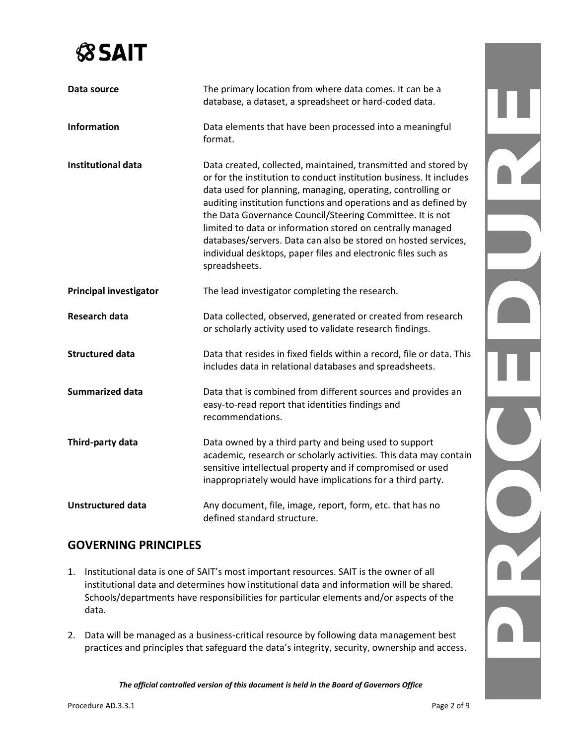| Data source                   | The primary location from where data comes. It can be a<br>database, a dataset, a spreadsheet or hard-coded data.                                                                                                                                                                                                                                                                                                                                                                                                                                      |  |
|-------------------------------|--------------------------------------------------------------------------------------------------------------------------------------------------------------------------------------------------------------------------------------------------------------------------------------------------------------------------------------------------------------------------------------------------------------------------------------------------------------------------------------------------------------------------------------------------------|--|
| <b>Information</b>            | Data elements that have been processed into a meaningful<br>format.                                                                                                                                                                                                                                                                                                                                                                                                                                                                                    |  |
| <b>Institutional data</b>     | Data created, collected, maintained, transmitted and stored by<br>or for the institution to conduct institution business. It includes<br>data used for planning, managing, operating, controlling or<br>auditing institution functions and operations and as defined by<br>the Data Governance Council/Steering Committee. It is not<br>limited to data or information stored on centrally managed<br>databases/servers. Data can also be stored on hosted services,<br>individual desktops, paper files and electronic files such as<br>spreadsheets. |  |
| <b>Principal investigator</b> | The lead investigator completing the research.                                                                                                                                                                                                                                                                                                                                                                                                                                                                                                         |  |
| Research data                 | Data collected, observed, generated or created from research<br>or scholarly activity used to validate research findings.                                                                                                                                                                                                                                                                                                                                                                                                                              |  |
| <b>Structured data</b>        | Data that resides in fixed fields within a record, file or data. This<br>includes data in relational databases and spreadsheets.                                                                                                                                                                                                                                                                                                                                                                                                                       |  |
| <b>Summarized data</b>        | Data that is combined from different sources and provides an<br>easy-to-read report that identities findings and<br>recommendations.                                                                                                                                                                                                                                                                                                                                                                                                                   |  |
| Third-party data              | Data owned by a third party and being used to support<br>academic, research or scholarly activities. This data may contain<br>sensitive intellectual property and if compromised or used<br>inappropriately would have implications for a third party.                                                                                                                                                                                                                                                                                                 |  |
| <b>Unstructured data</b>      | Any document, file, image, report, form, etc. that has no<br>defined standard structure.                                                                                                                                                                                                                                                                                                                                                                                                                                                               |  |

### **GOVERNING PRINCIPLES**

- 1. Institutional data is one of SAIT's most important resources. SAIT is the owner of all institutional data and determines how institutional data and information will be shared. Schools/departments have responsibilities for particular elements and/or aspects of the data.
- 2. Data will be managed as a business-critical resource by following data management best practices and principles that safeguard the data's integrity, security, ownership and access.

*The official controlled version of this document is held in the Board of Governors Office*

OT.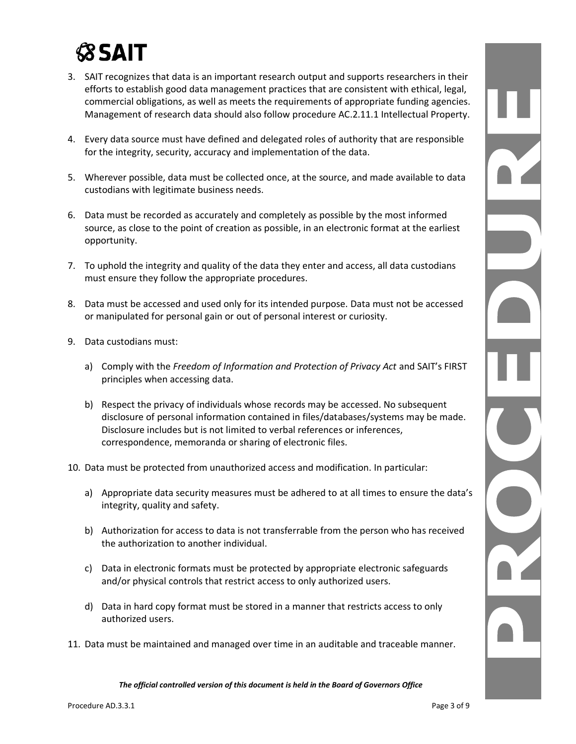- 3. SAIT recognizes that data is an important research output and supports researchers in their efforts to establish good data management practices that are consistent with ethical, legal, commercial obligations, as well as meets the requirements of appropriate funding agencies. Management of research data should also follow procedure AC.2.11.1 Intellectual Property.
- 4. Every data source must have defined and delegated roles of authority that are responsible for the integrity, security, accuracy and implementation of the data.
- 5. Wherever possible, data must be collected once, at the source, and made available to data custodians with legitimate business needs.
- 6. Data must be recorded as accurately and completely as possible by the most informed source, as close to the point of creation as possible, in an electronic format at the earliest opportunity.
- 7. To uphold the integrity and quality of the data they enter and access, all data custodians must ensure they follow the appropriate procedures.
- 8. Data must be accessed and used only for its intended purpose. Data must not be accessed or manipulated for personal gain or out of personal interest or curiosity.
- 9. Data custodians must:
	- a) Comply with the *Freedom of Information and Protection of Privacy Act* and SAIT's FIRST principles when accessing data.
	- b) Respect the privacy of individuals whose records may be accessed. No subsequent disclosure of personal information contained in files/databases/systems may be made. Disclosure includes but is not limited to verbal references or inferences, correspondence, memoranda or sharing of electronic files.
- 10. Data must be protected from unauthorized access and modification. In particular:
	- a) Appropriate data security measures must be adhered to at all times to ensure the data's integrity, quality and safety.
	- b) Authorization for access to data is not transferrable from the person who has received the authorization to another individual.
	- c) Data in electronic formats must be protected by appropriate electronic safeguards and/or physical controls that restrict access to only authorized users.
	- d) Data in hard copy format must be stored in a manner that restricts access to only authorized users.
- 11. Data must be maintained and managed over time in an auditable and traceable manner.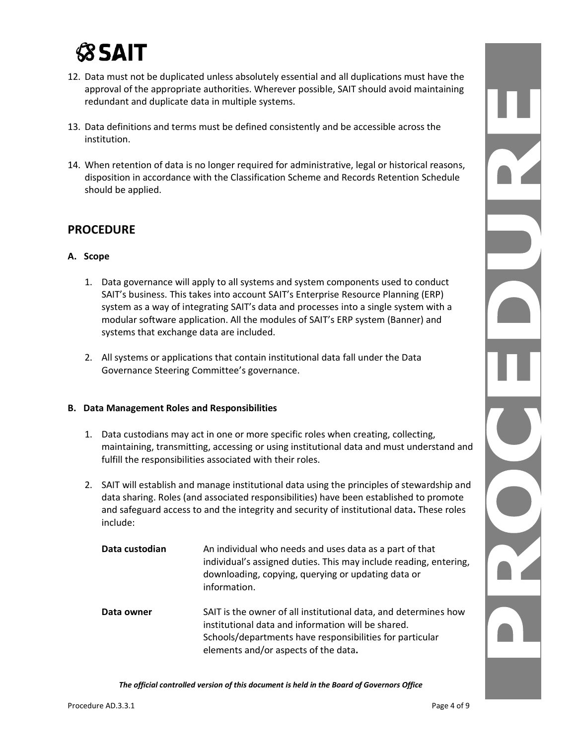- 12. Data must not be duplicated unless absolutely essential and all duplications must have the approval of the appropriate authorities. Wherever possible, SAIT should avoid maintaining redundant and duplicate data in multiple systems.
- 13. Data definitions and terms must be defined consistently and be accessible across the institution.
- 14. When retention of data is no longer required for administrative, legal or historical reasons, disposition in accordance with the Classification Scheme and Records Retention Schedule should be applied.

### **PROCEDURE**

#### **A. Scope**

- 1. Data governance will apply to all systems and system components used to conduct SAIT's business. This takes into account SAIT's Enterprise Resource Planning (ERP) system as a way of integrating SAIT's data and processes into a single system with a modular software application. All the modules of SAIT's ERP system (Banner) and systems that exchange data are included.
- 2. All systems or applications that contain institutional data fall under the Data Governance Steering Committee's governance.

#### **B. Data Management Roles and Responsibilities**

- 1. Data custodians may act in one or more specific roles when creating, collecting, maintaining, transmitting, accessing or using institutional data and must understand and fulfill the responsibilities associated with their roles.
- 2. SAIT will establish and manage institutional data using the principles of stewardship and data sharing. Roles (and associated responsibilities) have been established to promote and safeguard access to and the integrity and security of institutional data**.** These roles include:

| Data custodian | An individual who needs and uses data as a part of that<br>individual's assigned duties. This may include reading, entering,<br>downloading, copying, querying or updating data or<br>information.                        |
|----------------|---------------------------------------------------------------------------------------------------------------------------------------------------------------------------------------------------------------------------|
| Data owner     | SAIT is the owner of all institutional data, and determines how<br>institutional data and information will be shared.<br>Schools/departments have responsibilities for particular<br>elements and/or aspects of the data. |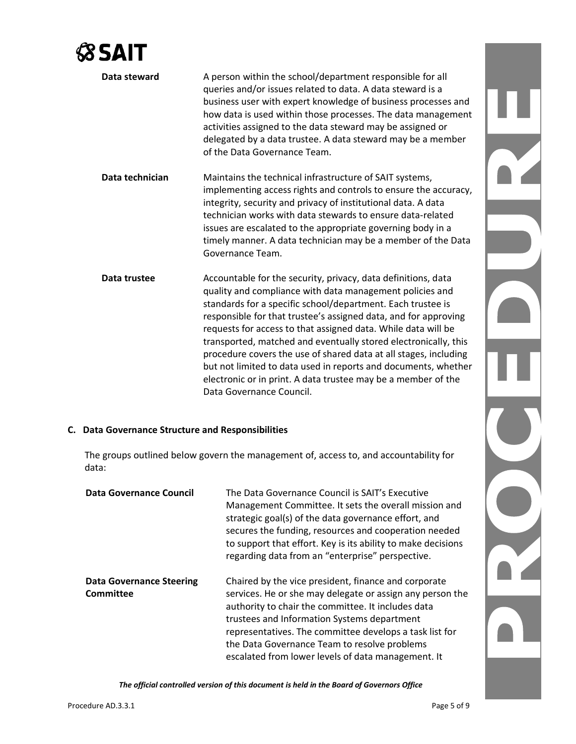| Data steward    | A person within the school/department responsible for all<br>queries and/or issues related to data. A data steward is a<br>business user with expert knowledge of business processes and<br>how data is used within those processes. The data management<br>activities assigned to the data steward may be assigned or<br>delegated by a data trustee. A data steward may be a member<br>of the Data Governance Team.                                                                                                                                                                                                              |
|-----------------|------------------------------------------------------------------------------------------------------------------------------------------------------------------------------------------------------------------------------------------------------------------------------------------------------------------------------------------------------------------------------------------------------------------------------------------------------------------------------------------------------------------------------------------------------------------------------------------------------------------------------------|
| Data technician | Maintains the technical infrastructure of SAIT systems,<br>implementing access rights and controls to ensure the accuracy,<br>integrity, security and privacy of institutional data. A data<br>technician works with data stewards to ensure data-related<br>issues are escalated to the appropriate governing body in a<br>timely manner. A data technician may be a member of the Data<br>Governance Team.                                                                                                                                                                                                                       |
| Data trustee    | Accountable for the security, privacy, data definitions, data<br>quality and compliance with data management policies and<br>standards for a specific school/department. Each trustee is<br>responsible for that trustee's assigned data, and for approving<br>requests for access to that assigned data. While data will be<br>transported, matched and eventually stored electronically, this<br>procedure covers the use of shared data at all stages, including<br>but not limited to data used in reports and documents, whether<br>electronic or in print. A data trustee may be a member of the<br>Data Governance Council. |

#### **C. Data Governance Structure and Responsibilities**

The groups outlined below govern the management of, access to, and accountability for data:

| Data Governance Council                      | The Data Governance Council is SAIT's Executive<br>Management Committee. It sets the overall mission and<br>strategic goal(s) of the data governance effort, and<br>secures the funding, resources and cooperation needed<br>to support that effort. Key is its ability to make decisions<br>regarding data from an "enterprise" perspective.                                           |
|----------------------------------------------|-----------------------------------------------------------------------------------------------------------------------------------------------------------------------------------------------------------------------------------------------------------------------------------------------------------------------------------------------------------------------------------------|
| <b>Data Governance Steering</b><br>Committee | Chaired by the vice president, finance and corporate<br>services. He or she may delegate or assign any person the<br>authority to chair the committee. It includes data<br>trustees and Information Systems department<br>representatives. The committee develops a task list for<br>the Data Governance Team to resolve problems<br>escalated from lower levels of data management. It |

*The official controlled version of this document is held in the Board of Governors Office*

N

٦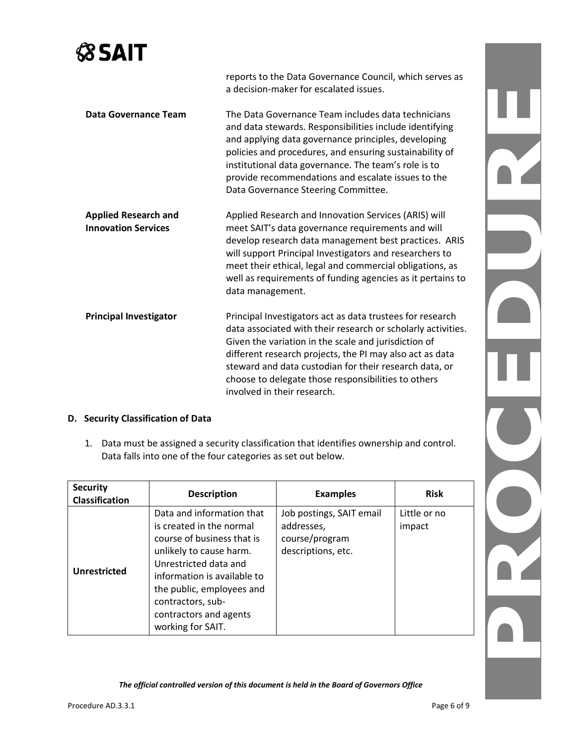reports to the Data Governance Council, which serves as a decision-maker for escalated issues. **Data Governance Team** The Data Governance Team includes data technicians and data stewards. Responsibilities include identifying and applying data governance principles, developing policies and procedures, and ensuring sustainability of institutional data governance. The team's role is to provide recommendations and escalate issues to the Data Governance Steering Committee. **Applied Research and Innovation Services** Applied Research and Innovation Services (ARIS) will meet SAIT's data governance requirements and will develop research data management best practices. ARIS will support Principal Investigators and researchers to meet their ethical, legal and commercial obligations, as well as requirements of funding agencies as it pertains to data management. **Principal Investigator** Principal Investigators act as data trustees for research data associated with their research or scholarly activities. Given the variation in the scale and jurisdiction of different research projects, the PI may also act as data steward and data custodian for their research data, or choose to delegate those responsibilities to others involved in their research.

#### **D. Security Classification of Data**

1. Data must be assigned a security classification that identifies ownership and control. Data falls into one of the four categories as set out below.

| <b>Security</b><br><b>Classification</b> | <b>Description</b>                                                                                                                                                                                                                                                      | <b>Examples</b>                                                                | <b>Risk</b>            |
|------------------------------------------|-------------------------------------------------------------------------------------------------------------------------------------------------------------------------------------------------------------------------------------------------------------------------|--------------------------------------------------------------------------------|------------------------|
| Unrestricted                             | Data and information that<br>is created in the normal<br>course of business that is<br>unlikely to cause harm.<br>Unrestricted data and<br>information is available to<br>the public, employees and<br>contractors, sub-<br>contractors and agents<br>working for SAIT. | Job postings, SAIT email<br>addresses,<br>course/program<br>descriptions, etc. | Little or no<br>impact |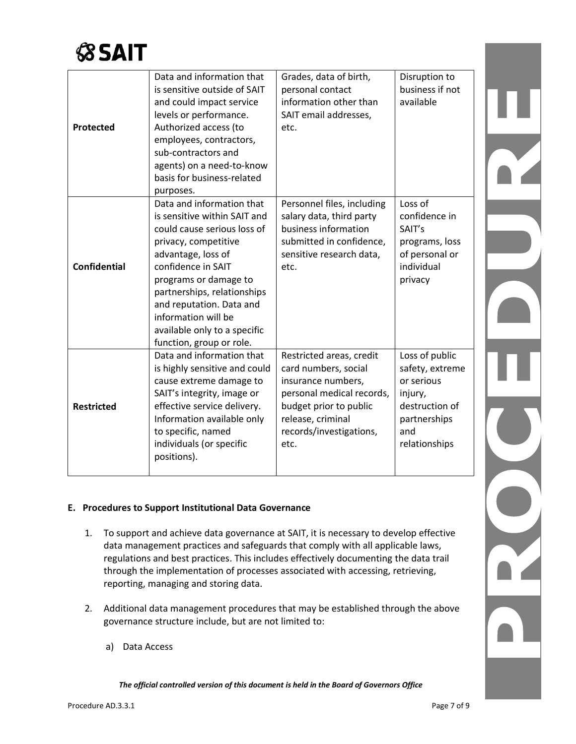

| Protected           | Data and information that<br>is sensitive outside of SAIT<br>and could impact service<br>levels or performance.<br>Authorized access (to<br>employees, contractors,<br>sub-contractors and<br>agents) on a need-to-know                                                                                                             | Grades, data of birth,<br>personal contact<br>information other than<br>SAIT email addresses,<br>etc.                                                                                 | Disruption to<br>business if not<br>available                                                                        |  |
|---------------------|-------------------------------------------------------------------------------------------------------------------------------------------------------------------------------------------------------------------------------------------------------------------------------------------------------------------------------------|---------------------------------------------------------------------------------------------------------------------------------------------------------------------------------------|----------------------------------------------------------------------------------------------------------------------|--|
|                     | basis for business-related<br>purposes.                                                                                                                                                                                                                                                                                             |                                                                                                                                                                                       |                                                                                                                      |  |
| <b>Confidential</b> | Data and information that<br>is sensitive within SAIT and<br>could cause serious loss of<br>privacy, competitive<br>advantage, loss of<br>confidence in SAIT<br>programs or damage to<br>partnerships, relationships<br>and reputation. Data and<br>information will be<br>available only to a specific<br>function, group or role. | Personnel files, including<br>salary data, third party<br>business information<br>submitted in confidence,<br>sensitive research data,<br>etc.                                        | Loss of<br>confidence in<br>SAIT's<br>programs, loss<br>of personal or<br>individual<br>privacy                      |  |
| <b>Restricted</b>   | Data and information that<br>is highly sensitive and could<br>cause extreme damage to<br>SAIT's integrity, image or<br>effective service delivery.<br>Information available only<br>to specific, named<br>individuals (or specific<br>positions).                                                                                   | Restricted areas, credit<br>card numbers, social<br>insurance numbers,<br>personal medical records,<br>budget prior to public<br>release, criminal<br>records/investigations,<br>etc. | Loss of public<br>safety, extreme<br>or serious<br>injury,<br>destruction of<br>partnerships<br>and<br>relationships |  |

#### **E. Procedures to Support Institutional Data Governance**

- 1. To support and achieve data governance at SAIT, it is necessary to develop effective data management practices and safeguards that comply with all applicable laws, regulations and best practices. This includes effectively documenting the data trail through the implementation of processes associated with accessing, retrieving, reporting, managing and storing data.
- 2. Additional data management procedures that may be established through the above governance structure include, but are not limited to:
	- a) Data Access

*The official controlled version of this document is held in the Board of Governors Office*

N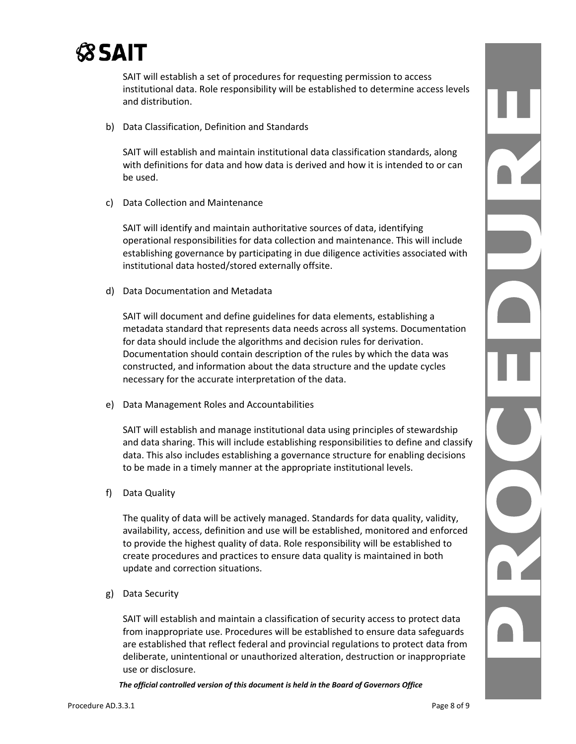

SAIT will establish a set of procedures for requesting permission to access institutional data. Role responsibility will be established to determine access levels and distribution.

b) Data Classification, Definition and Standards

SAIT will establish and maintain institutional data classification standards, along with definitions for data and how data is derived and how it is intended to or can be used.

c) Data Collection and Maintenance

SAIT will identify and maintain authoritative sources of data, identifying operational responsibilities for data collection and maintenance. This will include establishing governance by participating in due diligence activities associated with institutional data hosted/stored externally offsite.

d) Data Documentation and Metadata

SAIT will document and define guidelines for data elements, establishing a metadata standard that represents data needs across all systems. Documentation for data should include the algorithms and decision rules for derivation. Documentation should contain description of the rules by which the data was constructed, and information about the data structure and the update cycles necessary for the accurate interpretation of the data.

e) Data Management Roles and Accountabilities

SAIT will establish and manage institutional data using principles of stewardship and data sharing. This will include establishing responsibilities to define and classify data. This also includes establishing a governance structure for enabling decisions to be made in a timely manner at the appropriate institutional levels.

f) Data Quality

The quality of data will be actively managed. Standards for data quality, validity, availability, access, definition and use will be established, monitored and enforced to provide the highest quality of data. Role responsibility will be established to create procedures and practices to ensure data quality is maintained in both update and correction situations.

g) Data Security

SAIT will establish and maintain a classification of security access to protect data from inappropriate use. Procedures will be established to ensure data safeguards are established that reflect federal and provincial regulations to protect data from deliberate, unintentional or unauthorized alteration, destruction or inappropriate use or disclosure.